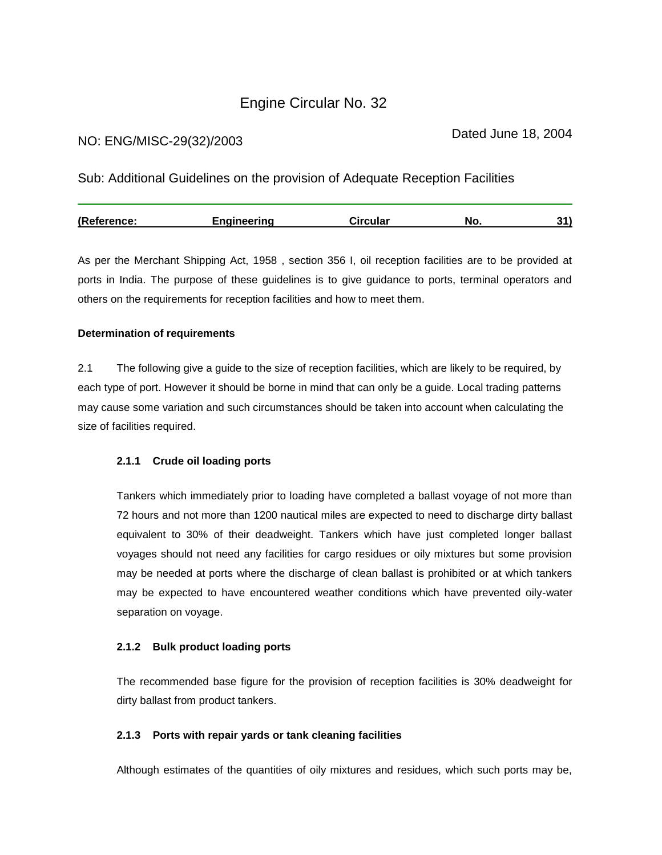# Engine Circular No. 32

## NO: ENG/MISC-29(32)/2003

Sub: Additional Guidelines on the provision of Adequate Reception Facilities

| (Reference: | Enaineerina | Circular | NO. |  |
|-------------|-------------|----------|-----|--|
|             |             |          |     |  |

As per the Merchant Shipping Act, 1958 , section 356 I, oil reception facilities are to be provided at ports in India. The purpose of these guidelines is to give guidance to ports, terminal operators and others on the requirements for reception facilities and how to meet them.

## **Determination of requirements**

2.1 The following give a guide to the size of reception facilities, which are likely to be required, by each type of port. However it should be borne in mind that can only be a guide. Local trading patterns may cause some variation and such circumstances should be taken into account when calculating the size of facilities required.

## **2.1.1 Crude oil loading ports**

Tankers which immediately prior to loading have completed a ballast voyage of not more than 72 hours and not more than 1200 nautical miles are expected to need to discharge dirty ballast equivalent to 30% of their deadweight. Tankers which have just completed longer ballast voyages should not need any facilities for cargo residues or oily mixtures but some provision may be needed at ports where the discharge of clean ballast is prohibited or at which tankers may be expected to have encountered weather conditions which have prevented oily-water separation on voyage.

## **2.1.2 Bulk product loading ports**

The recommended base figure for the provision of reception facilities is 30% deadweight for dirty ballast from product tankers.

## **2.1.3 Ports with repair yards or tank cleaning facilities**

Although estimates of the quantities of oily mixtures and residues, which such ports may be,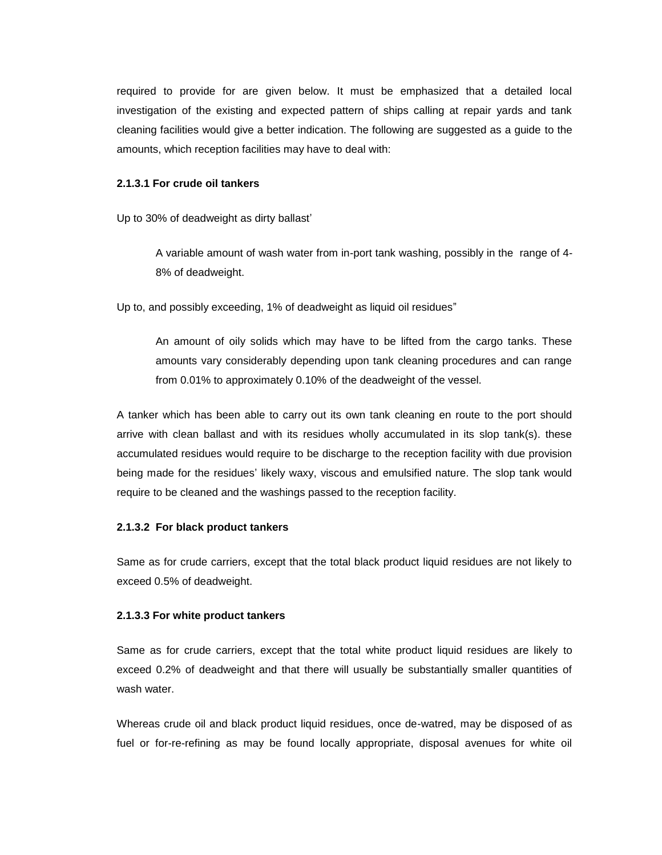required to provide for are given below. It must be emphasized that a detailed local investigation of the existing and expected pattern of ships calling at repair yards and tank cleaning facilities would give a better indication. The following are suggested as a guide to the amounts, which reception facilities may have to deal with:

#### **2.1.3.1 For crude oil tankers**

Up to 30% of deadweight as dirty ballast'

A variable amount of wash water from in-port tank washing, possibly in the range of 4- 8% of deadweight.

Up to, and possibly exceeding, 1% of deadweight as liquid oil residues"

An amount of oily solids which may have to be lifted from the cargo tanks. These amounts vary considerably depending upon tank cleaning procedures and can range from 0.01% to approximately 0.10% of the deadweight of the vessel.

A tanker which has been able to carry out its own tank cleaning en route to the port should arrive with clean ballast and with its residues wholly accumulated in its slop tank(s). these accumulated residues would require to be discharge to the reception facility with due provision being made for the residues' likely waxy, viscous and emulsified nature. The slop tank would require to be cleaned and the washings passed to the reception facility.

#### **2.1.3.2 For black product tankers**

Same as for crude carriers, except that the total black product liquid residues are not likely to exceed 0.5% of deadweight.

#### **2.1.3.3 For white product tankers**

Same as for crude carriers, except that the total white product liquid residues are likely to exceed 0.2% of deadweight and that there will usually be substantially smaller quantities of wash water.

Whereas crude oil and black product liquid residues, once de-watred, may be disposed of as fuel or for-re-refining as may be found locally appropriate, disposal avenues for white oil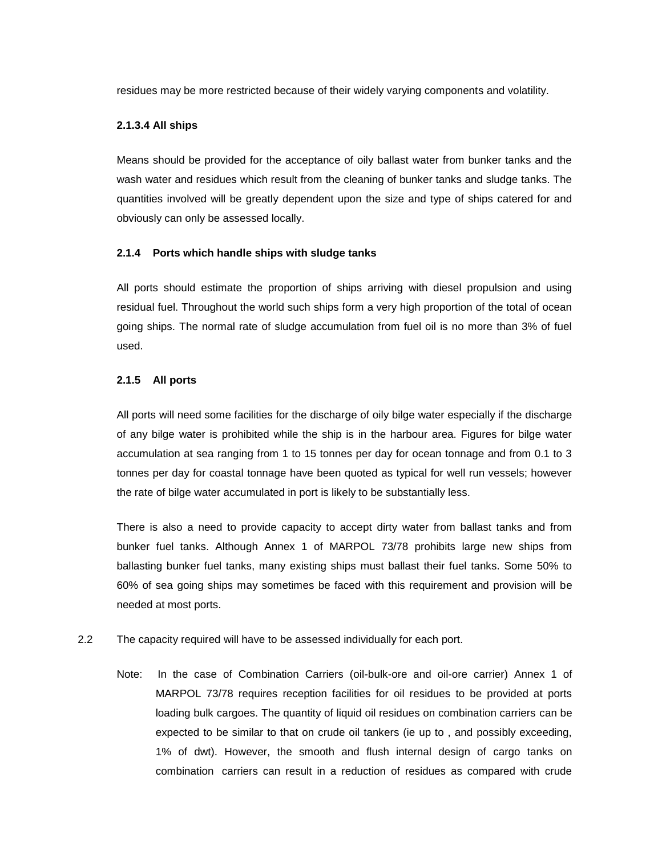residues may be more restricted because of their widely varying components and volatility.

#### **2.1.3.4 All ships**

Means should be provided for the acceptance of oily ballast water from bunker tanks and the wash water and residues which result from the cleaning of bunker tanks and sludge tanks. The quantities involved will be greatly dependent upon the size and type of ships catered for and obviously can only be assessed locally.

#### **2.1.4 Ports which handle ships with sludge tanks**

All ports should estimate the proportion of ships arriving with diesel propulsion and using residual fuel. Throughout the world such ships form a very high proportion of the total of ocean going ships. The normal rate of sludge accumulation from fuel oil is no more than 3% of fuel used.

#### **2.1.5 All ports**

All ports will need some facilities for the discharge of oily bilge water especially if the discharge of any bilge water is prohibited while the ship is in the harbour area. Figures for bilge water accumulation at sea ranging from 1 to 15 tonnes per day for ocean tonnage and from 0.1 to 3 tonnes per day for coastal tonnage have been quoted as typical for well run vessels; however the rate of bilge water accumulated in port is likely to be substantially less.

There is also a need to provide capacity to accept dirty water from ballast tanks and from bunker fuel tanks. Although Annex 1 of MARPOL 73/78 prohibits large new ships from ballasting bunker fuel tanks, many existing ships must ballast their fuel tanks. Some 50% to 60% of sea going ships may sometimes be faced with this requirement and provision will be needed at most ports.

- 2.2 The capacity required will have to be assessed individually for each port.
	- Note: In the case of Combination Carriers (oil-bulk-ore and oil-ore carrier) Annex 1 of MARPOL 73/78 requires reception facilities for oil residues to be provided at ports loading bulk cargoes. The quantity of liquid oil residues on combination carriers can be expected to be similar to that on crude oil tankers (ie up to , and possibly exceeding, 1% of dwt). However, the smooth and flush internal design of cargo tanks on combination carriers can result in a reduction of residues as compared with crude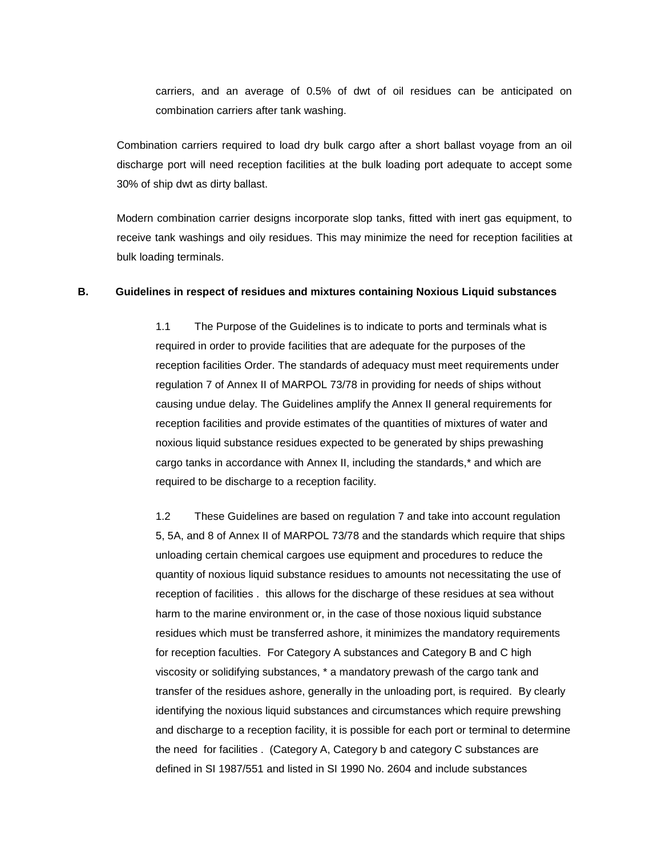carriers, and an average of 0.5% of dwt of oil residues can be anticipated on combination carriers after tank washing.

Combination carriers required to load dry bulk cargo after a short ballast voyage from an oil discharge port will need reception facilities at the bulk loading port adequate to accept some 30% of ship dwt as dirty ballast.

Modern combination carrier designs incorporate slop tanks, fitted with inert gas equipment, to receive tank washings and oily residues. This may minimize the need for reception facilities at bulk loading terminals.

#### **B. Guidelines in respect of residues and mixtures containing Noxious Liquid substances**

1.1 The Purpose of the Guidelines is to indicate to ports and terminals what is required in order to provide facilities that are adequate for the purposes of the reception facilities Order. The standards of adequacy must meet requirements under regulation 7 of Annex II of MARPOL 73/78 in providing for needs of ships without causing undue delay. The Guidelines amplify the Annex II general requirements for reception facilities and provide estimates of the quantities of mixtures of water and noxious liquid substance residues expected to be generated by ships prewashing cargo tanks in accordance with Annex II, including the standards,\* and which are required to be discharge to a reception facility.

1.2 These Guidelines are based on regulation 7 and take into account regulation 5, 5A, and 8 of Annex II of MARPOL 73/78 and the standards which require that ships unloading certain chemical cargoes use equipment and procedures to reduce the quantity of noxious liquid substance residues to amounts not necessitating the use of reception of facilities . this allows for the discharge of these residues at sea without harm to the marine environment or, in the case of those noxious liquid substance residues which must be transferred ashore, it minimizes the mandatory requirements for reception faculties. For Category A substances and Category B and C high viscosity or solidifying substances, \* a mandatory prewash of the cargo tank and transfer of the residues ashore, generally in the unloading port, is required. By clearly identifying the noxious liquid substances and circumstances which require prewshing and discharge to a reception facility, it is possible for each port or terminal to determine the need for facilities . (Category A, Category b and category C substances are defined in SI 1987/551 and listed in SI 1990 No. 2604 and include substances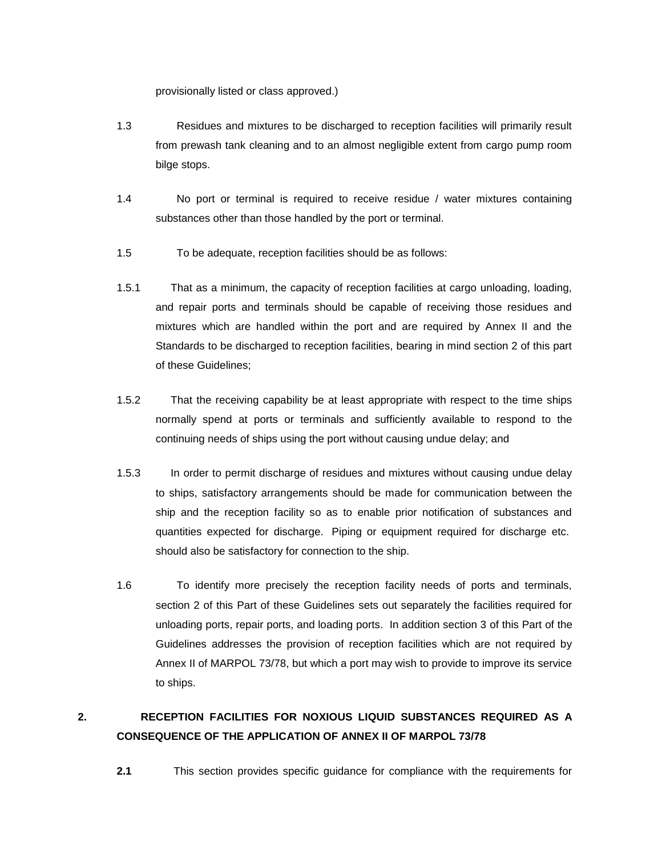provisionally listed or class approved.)

- 1.3 Residues and mixtures to be discharged to reception facilities will primarily result from prewash tank cleaning and to an almost negligible extent from cargo pump room bilge stops.
- 1.4 No port or terminal is required to receive residue / water mixtures containing substances other than those handled by the port or terminal.
- 1.5 To be adequate, reception facilities should be as follows:
- 1.5.1 That as a minimum, the capacity of reception facilities at cargo unloading, loading, and repair ports and terminals should be capable of receiving those residues and mixtures which are handled within the port and are required by Annex II and the Standards to be discharged to reception facilities, bearing in mind section 2 of this part of these Guidelines;
- 1.5.2 That the receiving capability be at least appropriate with respect to the time ships normally spend at ports or terminals and sufficiently available to respond to the continuing needs of ships using the port without causing undue delay; and
- 1.5.3 In order to permit discharge of residues and mixtures without causing undue delay to ships, satisfactory arrangements should be made for communication between the ship and the reception facility so as to enable prior notification of substances and quantities expected for discharge. Piping or equipment required for discharge etc. should also be satisfactory for connection to the ship.
- 1.6 To identify more precisely the reception facility needs of ports and terminals, section 2 of this Part of these Guidelines sets out separately the facilities required for unloading ports, repair ports, and loading ports. In addition section 3 of this Part of the Guidelines addresses the provision of reception facilities which are not required by Annex II of MARPOL 73/78, but which a port may wish to provide to improve its service to ships.

# **2. RECEPTION FACILITIES FOR NOXIOUS LIQUID SUBSTANCES REQUIRED AS A CONSEQUENCE OF THE APPLICATION OF ANNEX II OF MARPOL 73/78**

**2.1** This section provides specific guidance for compliance with the requirements for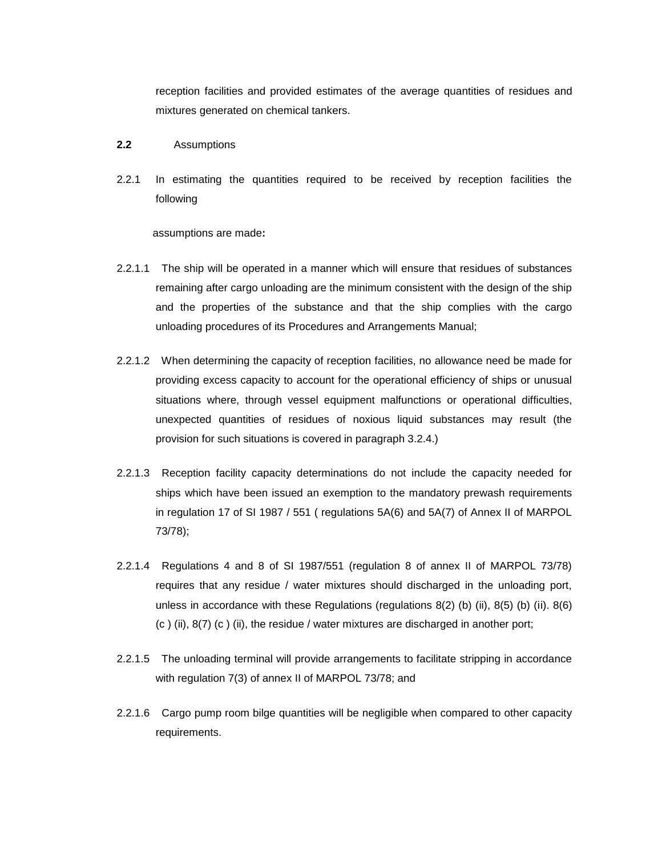reception facilities and provided estimates of the average quantities of residues and mixtures generated on chemical tankers.

#### **2.2** Assumptions

2.2.1In estimating the quantities required to be received by reception facilities the following

assumptions are made**:**

- 2.2.1.1 The ship will be operated in a manner which will ensure that residues of substances remaining after cargo unloading are the minimum consistent with the design of the ship and the properties of the substance and that the ship complies with the cargo unloading procedures of its Procedures and Arrangements Manual;
- 2.2.1.2 When determining the capacity of reception facilities, no allowance need be made for providing excess capacity to account for the operational efficiency of ships or unusual situations where, through vessel equipment malfunctions or operational difficulties, unexpected quantities of residues of noxious liquid substances may result (the provision for such situations is covered in paragraph 3.2.4.)
- 2.2.1.3 Reception facility capacity determinations do not include the capacity needed for ships which have been issued an exemption to the mandatory prewash requirements in regulation 17 of SI 1987 / 551 ( regulations 5A(6) and 5A(7) of Annex II of MARPOL 73/78);
- 2.2.1.4 Regulations 4 and 8 of SI 1987/551 (regulation 8 of annex II of MARPOL 73/78) requires that any residue / water mixtures should discharged in the unloading port, unless in accordance with these Regulations (regulations  $8(2)$  (b) (ii),  $8(5)$  (b) (ii).  $8(6)$ (c ) (ii), 8(7) (c ) (ii), the residue / water mixtures are discharged in another port;
- 2.2.1.5 The unloading terminal will provide arrangements to facilitate stripping in accordance with regulation 7(3) of annex II of MARPOL 73/78; and
- 2.2.1.6 Cargo pump room bilge quantities will be negligible when compared to other capacity requirements.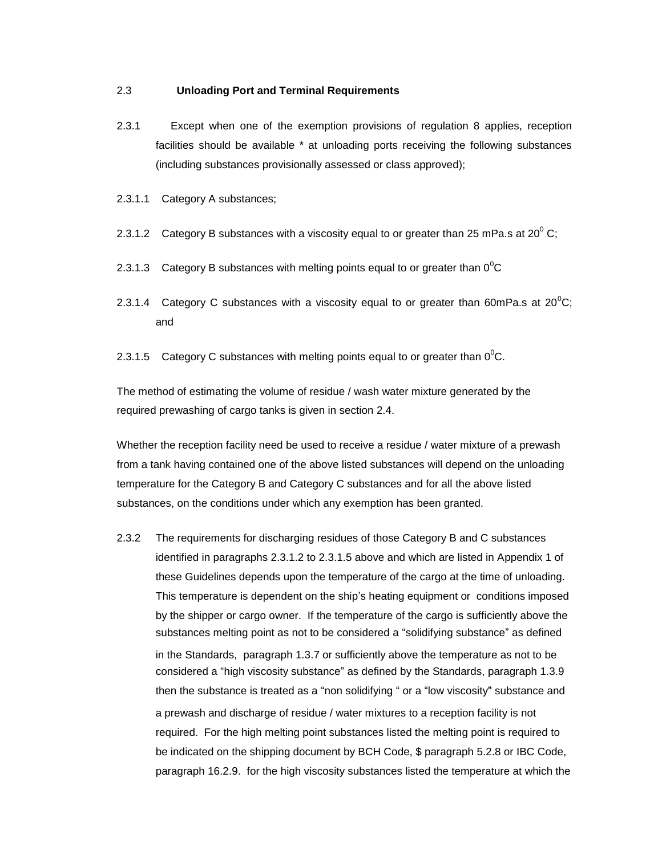#### 2.3 **Unloading Port and Terminal Requirements**

- 2.3.1 Except when one of the exemption provisions of regulation 8 applies, reception facilities should be available \* at unloading ports receiving the following substances (including substances provisionally assessed or class approved);
- 2.3.1.1 Category A substances;
- 2.3.1.2 Category B substances with a viscosity equal to or greater than 25 mPa.s at 20 $^{\circ}$  C;
- 2.3.1.3 Category B substances with melting points equal to or greater than  $0^0C$
- 2.3.1.4 Category C substances with a viscosity equal to or greater than 60mPa.s at 20 $^0$ C; and
- 2.3.1.5 Category C substances with melting points equal to or greater than  $0^0C$ .

The method of estimating the volume of residue / wash water mixture generated by the required prewashing of cargo tanks is given in section 2.4.

Whether the reception facility need be used to receive a residue / water mixture of a prewash from a tank having contained one of the above listed substances will depend on the unloading temperature for the Category B and Category C substances and for all the above listed substances, on the conditions under which any exemption has been granted.

2.3.2 The requirements for discharging residues of those Category B and C substances identified in paragraphs 2.3.1.2 to 2.3.1.5 above and which are listed in Appendix 1 of these Guidelines depends upon the temperature of the cargo at the time of unloading. This temperature is dependent on the ship's heating equipment or conditions imposed by the shipper or cargo owner. If the temperature of the cargo is sufficiently above the substances melting point as not to be considered a "solidifying substance" as defined in the Standards, paragraph 1.3.7 or sufficiently above the temperature as not to be considered a "high viscosity substance" as defined by the Standards, paragraph 1.3.9 then the substance is treated as a "non solidifying " or a "low viscosity" substance and a prewash and discharge of residue / water mixtures to a reception facility is not required. For the high melting point substances listed the melting point is required to be indicated on the shipping document by BCH Code, \$ paragraph 5.2.8 or IBC Code, paragraph 16.2.9. for the high viscosity substances listed the temperature at which the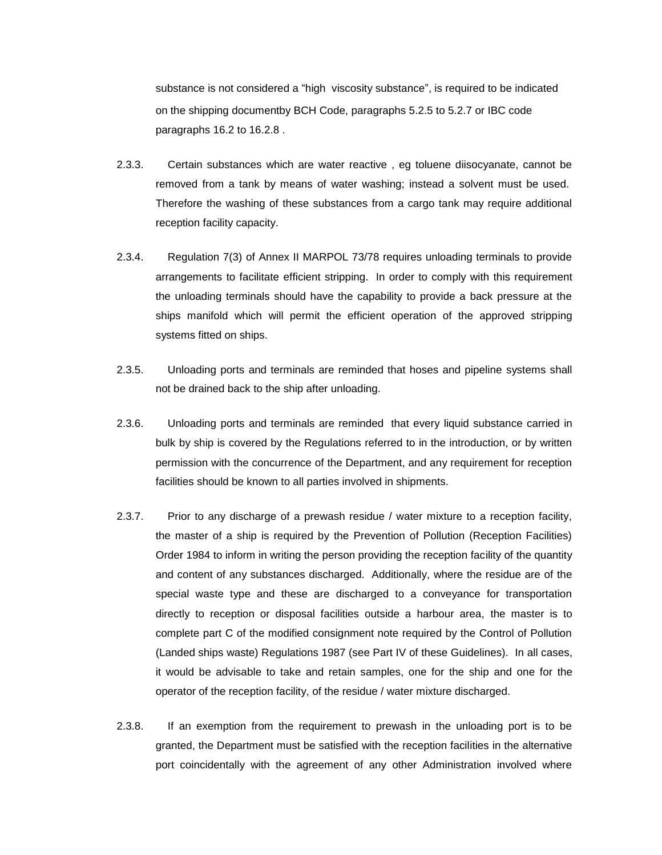substance is not considered a "high viscosity substance", is required to be indicated on the shipping documentby BCH Code, paragraphs 5.2.5 to 5.2.7 or IBC code paragraphs 16.2 to 16.2.8 .

- 2.3.3. Certain substances which are water reactive , eg toluene diisocyanate, cannot be removed from a tank by means of water washing; instead a solvent must be used. Therefore the washing of these substances from a cargo tank may require additional reception facility capacity.
- 2.3.4. Regulation 7(3) of Annex II MARPOL 73/78 requires unloading terminals to provide arrangements to facilitate efficient stripping. In order to comply with this requirement the unloading terminals should have the capability to provide a back pressure at the ships manifold which will permit the efficient operation of the approved stripping systems fitted on ships.
- 2.3.5. Unloading ports and terminals are reminded that hoses and pipeline systems shall not be drained back to the ship after unloading.
- 2.3.6. Unloading ports and terminals are reminded that every liquid substance carried in bulk by ship is covered by the Regulations referred to in the introduction, or by written permission with the concurrence of the Department, and any requirement for reception facilities should be known to all parties involved in shipments.
- 2.3.7. Prior to any discharge of a prewash residue / water mixture to a reception facility, the master of a ship is required by the Prevention of Pollution (Reception Facilities) Order 1984 to inform in writing the person providing the reception facility of the quantity and content of any substances discharged. Additionally, where the residue are of the special waste type and these are discharged to a conveyance for transportation directly to reception or disposal facilities outside a harbour area, the master is to complete part C of the modified consignment note required by the Control of Pollution (Landed ships waste) Regulations 1987 (see Part IV of these Guidelines). In all cases, it would be advisable to take and retain samples, one for the ship and one for the operator of the reception facility, of the residue / water mixture discharged.
- 2.3.8. If an exemption from the requirement to prewash in the unloading port is to be granted, the Department must be satisfied with the reception facilities in the alternative port coincidentally with the agreement of any other Administration involved where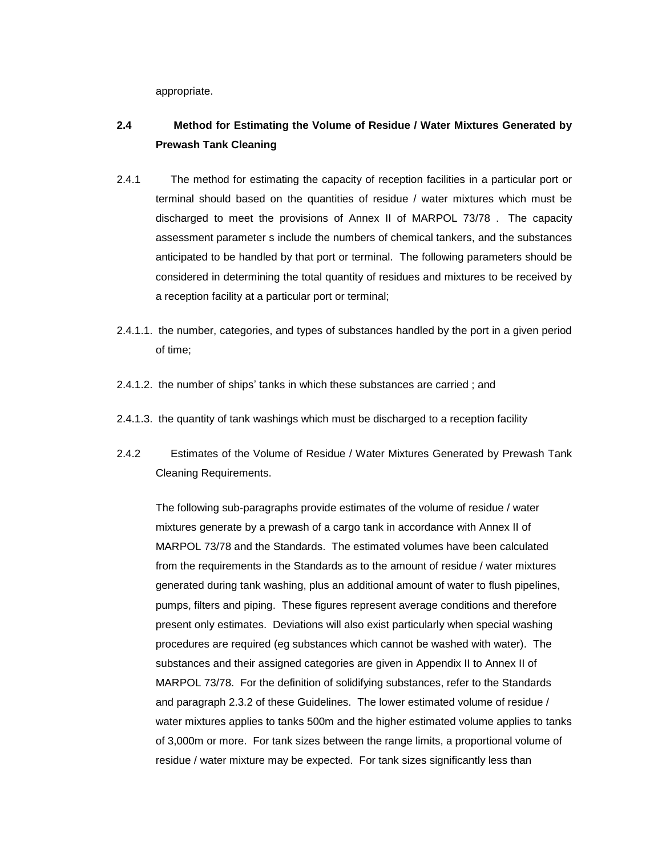appropriate.

## **2.4 Method for Estimating the Volume of Residue / Water Mixtures Generated by Prewash Tank Cleaning**

- 2.4.1 The method for estimating the capacity of reception facilities in a particular port or terminal should based on the quantities of residue / water mixtures which must be discharged to meet the provisions of Annex II of MARPOL 73/78 . The capacity assessment parameter s include the numbers of chemical tankers, and the substances anticipated to be handled by that port or terminal. The following parameters should be considered in determining the total quantity of residues and mixtures to be received by a reception facility at a particular port or terminal;
- 2.4.1.1. the number, categories, and types of substances handled by the port in a given period of time;
- 2.4.1.2. the number of ships' tanks in which these substances are carried ; and
- 2.4.1.3. the quantity of tank washings which must be discharged to a reception facility
- 2.4.2 Estimates of the Volume of Residue / Water Mixtures Generated by Prewash Tank Cleaning Requirements.

The following sub-paragraphs provide estimates of the volume of residue / water mixtures generate by a prewash of a cargo tank in accordance with Annex II of MARPOL 73/78 and the Standards. The estimated volumes have been calculated from the requirements in the Standards as to the amount of residue / water mixtures generated during tank washing, plus an additional amount of water to flush pipelines, pumps, filters and piping. These figures represent average conditions and therefore present only estimates. Deviations will also exist particularly when special washing procedures are required (eg substances which cannot be washed with water). The substances and their assigned categories are given in Appendix II to Annex II of MARPOL 73/78. For the definition of solidifying substances, refer to the Standards and paragraph 2.3.2 of these Guidelines. The lower estimated volume of residue / water mixtures applies to tanks 500m and the higher estimated volume applies to tanks of 3,000m or more. For tank sizes between the range limits, a proportional volume of residue / water mixture may be expected. For tank sizes significantly less than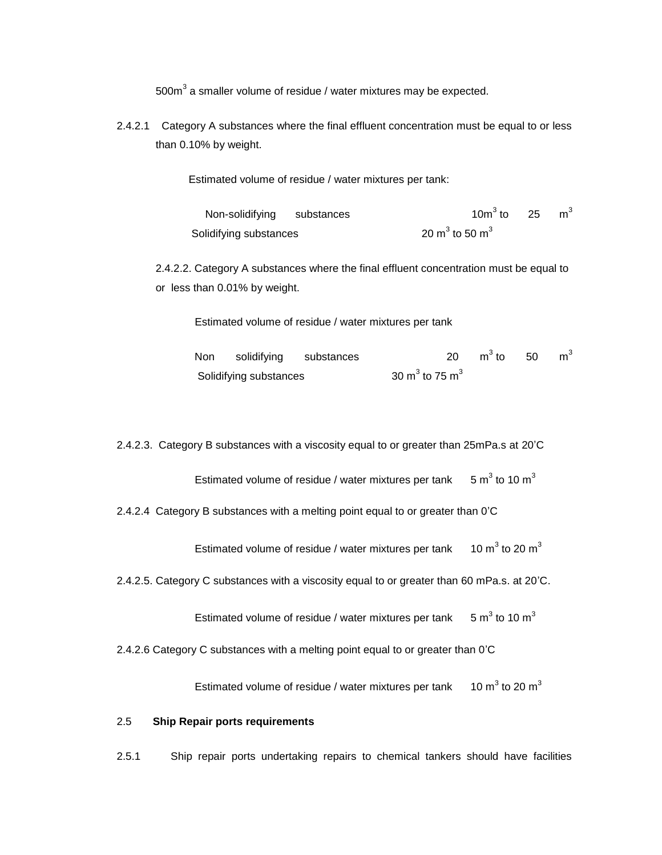500 $m^3$  a smaller volume of residue / water mixtures may be expected.

2.4.2.1 Category A substances where the final effluent concentration must be equal to or less than 0.10% by weight.

Estimated volume of residue / water mixtures per tank:

| Non-solidifying substances | 10 $m^3$ to 25 $m^3$                   |  |
|----------------------------|----------------------------------------|--|
| Solidifying substances     | 20 m <sup>3</sup> to 50 m <sup>3</sup> |  |

2.4.2.2. Category A substances where the final effluent concentration must be equal to or less than 0.01% by weight.

Estimated volume of residue / water mixtures per tank

|  | Non solidifying substances |                                        | 20 $m^3$ to 50 $m^3$ |  |
|--|----------------------------|----------------------------------------|----------------------|--|
|  | Solidifying substances     | 30 m <sup>3</sup> to 75 m <sup>3</sup> |                      |  |

2.4.2.3. Category B substances with a viscosity equal to or greater than 25mPa.s at 20'C

Estimated volume of residue / water mixtures per tank  $5 \text{ m}^3$  to 10 m<sup>3</sup>

2.4.2.4 Category B substances with a melting point equal to or greater than 0'C

Estimated volume of residue / water mixtures per tank  $10 \text{ m}^3$  to 20  $\text{m}^3$ 

2.4.2.5. Category C substances with a viscosity equal to or greater than 60 mPa.s. at 20'C.

Estimated volume of residue / water mixtures per tank  $5 \text{ m}^3$  to 10  $\text{m}^3$ 

2.4.2.6 Category C substances with a melting point equal to or greater than 0'C

Estimated volume of residue / water mixtures per tank  $10 \text{ m}^3$  to 20  $\text{m}^3$ 

#### 2.5 **Ship Repair ports requirements**

2.5.1 Ship repair ports undertaking repairs to chemical tankers should have facilities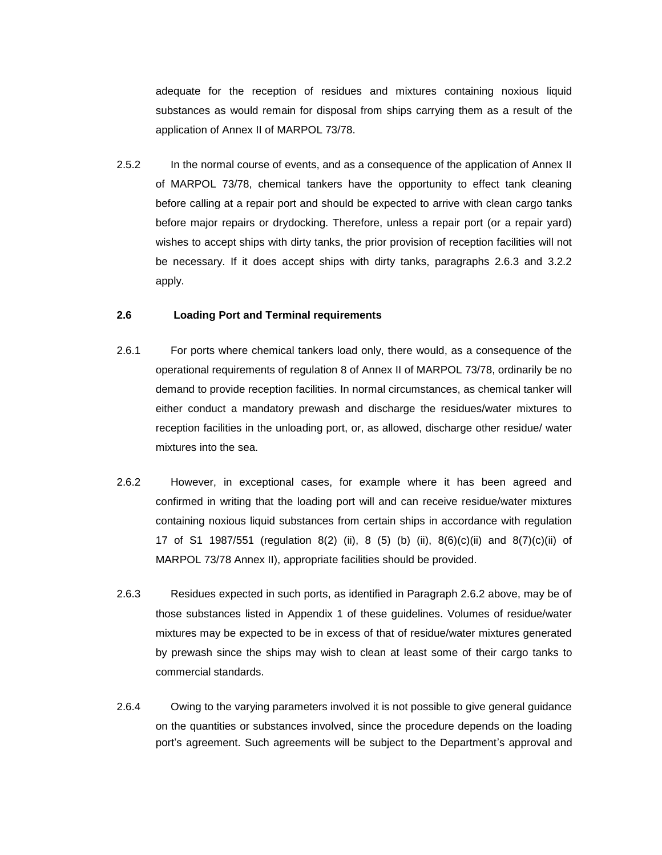adequate for the reception of residues and mixtures containing noxious liquid substances as would remain for disposal from ships carrying them as a result of the application of Annex II of MARPOL 73/78.

2.5.2 In the normal course of events, and as a consequence of the application of Annex II of MARPOL 73/78, chemical tankers have the opportunity to effect tank cleaning before calling at a repair port and should be expected to arrive with clean cargo tanks before major repairs or drydocking. Therefore, unless a repair port (or a repair yard) wishes to accept ships with dirty tanks, the prior provision of reception facilities will not be necessary. If it does accept ships with dirty tanks, paragraphs 2.6.3 and 3.2.2 apply.

#### **2.6 Loading Port and Terminal requirements**

- 2.6.1 For ports where chemical tankers load only, there would, as a consequence of the operational requirements of regulation 8 of Annex II of MARPOL 73/78, ordinarily be no demand to provide reception facilities. In normal circumstances, as chemical tanker will either conduct a mandatory prewash and discharge the residues/water mixtures to reception facilities in the unloading port, or, as allowed, discharge other residue/ water mixtures into the sea.
- 2.6.2 However, in exceptional cases, for example where it has been agreed and confirmed in writing that the loading port will and can receive residue/water mixtures containing noxious liquid substances from certain ships in accordance with regulation 17 of S1 1987/551 (regulation 8(2) (ii), 8 (5) (b) (ii), 8(6)(c)(ii) and 8(7)(c)(ii) of MARPOL 73/78 Annex II), appropriate facilities should be provided.
- 2.6.3 Residues expected in such ports, as identified in Paragraph 2.6.2 above, may be of those substances listed in Appendix 1 of these guidelines. Volumes of residue/water mixtures may be expected to be in excess of that of residue/water mixtures generated by prewash since the ships may wish to clean at least some of their cargo tanks to commercial standards.
- 2.6.4 Owing to the varying parameters involved it is not possible to give general guidance on the quantities or substances involved, since the procedure depends on the loading port's agreement. Such agreements will be subject to the Department's approval and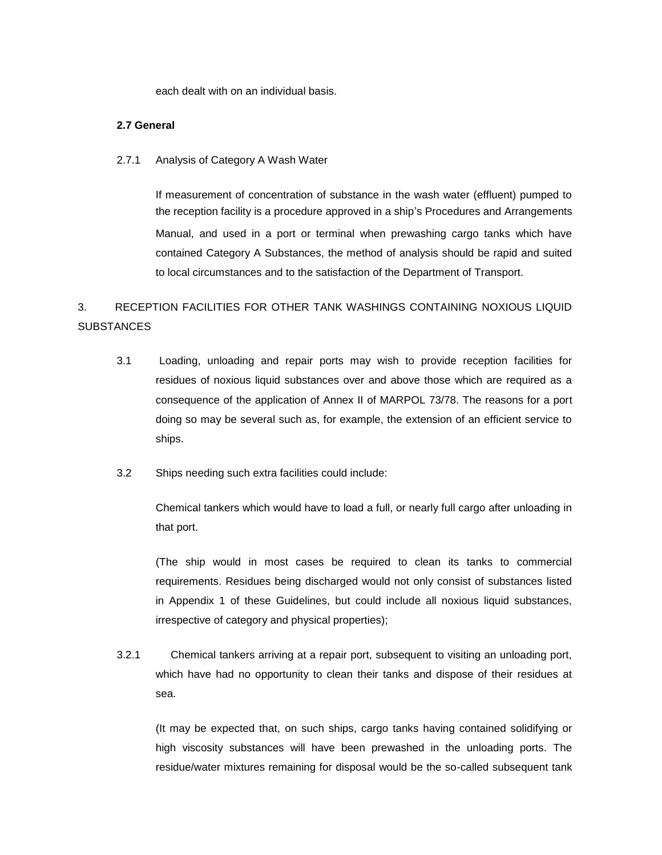each dealt with on an individual basis.

#### **2.7 General**

2.7.1 Analysis of Category A Wash Water

If measurement of concentration of substance in the wash water (effluent) pumped to the reception facility is a procedure approved in a ship's Procedures and Arrangements Manual, and used in a port or terminal when prewashing cargo tanks which have contained Category A Substances, the method of analysis should be rapid and suited to local circumstances and to the satisfaction of the Department of Transport.

# 3. RECEPTION FACILITIES FOR OTHER TANK WASHINGS CONTAINING NOXIOUS LIQUID **SUBSTANCES**

- 3.1 Loading, unloading and repair ports may wish to provide reception facilities for residues of noxious liquid substances over and above those which are required as a consequence of the application of Annex II of MARPOL 73/78. The reasons for a port doing so may be several such as, for example, the extension of an efficient service to ships.
- 3.2 Ships needing such extra facilities could include:

Chemical tankers which would have to load a full, or nearly full cargo after unloading in that port.

(The ship would in most cases be required to clean its tanks to commercial requirements. Residues being discharged would not only consist of substances listed in Appendix 1 of these Guidelines, but could include all noxious liquid substances, irrespective of category and physical properties);

3.2.1 Chemical tankers arriving at a repair port, subsequent to visiting an unloading port, which have had no opportunity to clean their tanks and dispose of their residues at sea.

(It may be expected that, on such ships, cargo tanks having contained solidifying or high viscosity substances will have been prewashed in the unloading ports. The residue/water mixtures remaining for disposal would be the so-called subsequent tank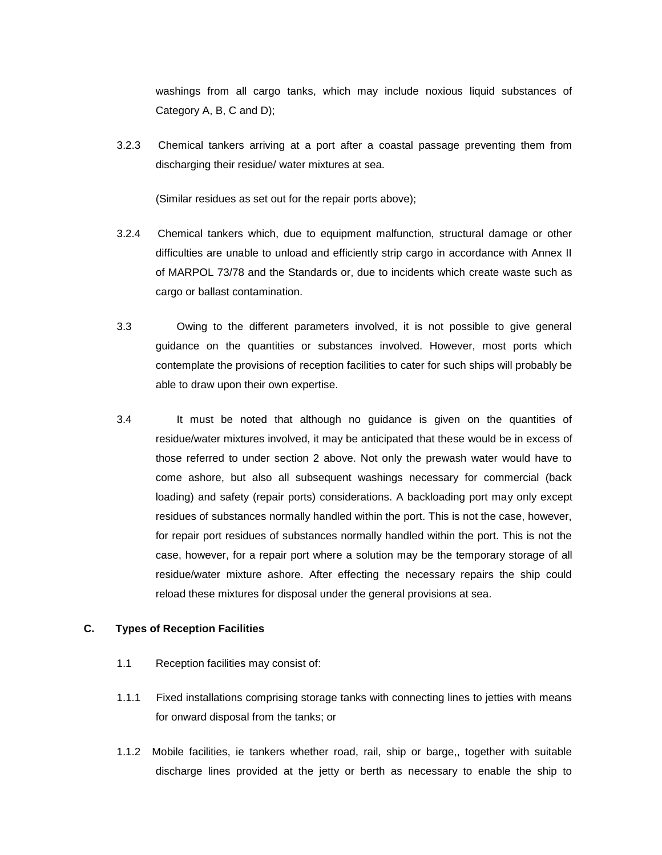washings from all cargo tanks, which may include noxious liquid substances of Category A, B, C and D);

3.2.3 Chemical tankers arriving at a port after a coastal passage preventing them from discharging their residue/ water mixtures at sea.

(Similar residues as set out for the repair ports above);

- 3.2.4 Chemical tankers which, due to equipment malfunction, structural damage or other difficulties are unable to unload and efficiently strip cargo in accordance with Annex II of MARPOL 73/78 and the Standards or, due to incidents which create waste such as cargo or ballast contamination.
- 3.3 Owing to the different parameters involved, it is not possible to give general guidance on the quantities or substances involved. However, most ports which contemplate the provisions of reception facilities to cater for such ships will probably be able to draw upon their own expertise.
- 3.4 It must be noted that although no guidance is given on the quantities of residue/water mixtures involved, it may be anticipated that these would be in excess of those referred to under section 2 above. Not only the prewash water would have to come ashore, but also all subsequent washings necessary for commercial (back loading) and safety (repair ports) considerations. A backloading port may only except residues of substances normally handled within the port. This is not the case, however, for repair port residues of substances normally handled within the port. This is not the case, however, for a repair port where a solution may be the temporary storage of all residue/water mixture ashore. After effecting the necessary repairs the ship could reload these mixtures for disposal under the general provisions at sea.

#### **C. Types of Reception Facilities**

- 1.1 Reception facilities may consist of:
- 1.1.1 Fixed installations comprising storage tanks with connecting lines to jetties with means for onward disposal from the tanks; or
- 1.1.2 Mobile facilities, ie tankers whether road, rail, ship or barge,, together with suitable discharge lines provided at the jetty or berth as necessary to enable the ship to